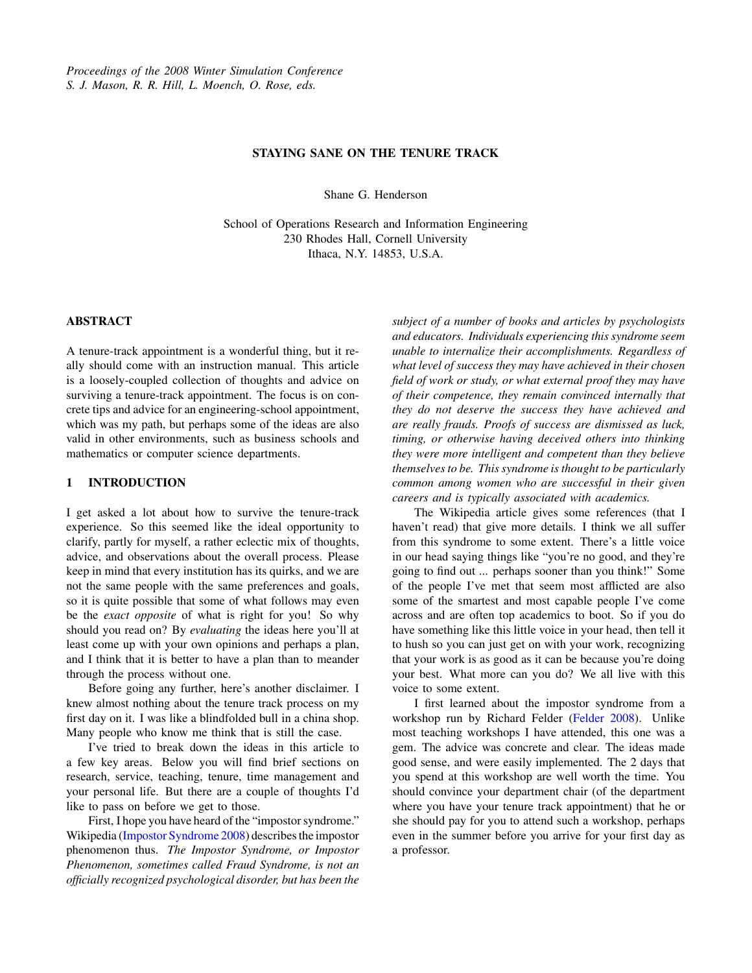#### STAYING SANE ON THE TENURE TRACK

Shane G. Henderson

School of Operations Research and Information Engineering 230 Rhodes Hall, Cornell University Ithaca, N.Y. 14853, U.S.A.

## ABSTRACT

A tenure-track appointment is a wonderful thing, but it really should come with an instruction manual. This article is a loosely-coupled collection of thoughts and advice on surviving a tenure-track appointment. The focus is on concrete tips and advice for an engineering-school appointment, which was my path, but perhaps some of the ideas are also valid in other environments, such as business schools and mathematics or computer science departments.

#### <span id="page-0-0"></span>1 INTRODUCTION

I get asked a lot about how to survive the tenure-track experience. So this seemed like the ideal opportunity to clarify, partly for myself, a rather eclectic mix of thoughts, advice, and observations about the overall process. Please keep in mind that every institution has its quirks, and we are not the same people with the same preferences and goals, so it is quite possible that some of what follows may even be the *exact opposite* of what is right for you! So why should you read on? By *evaluating* the ideas here you'll at least come up with your own opinions and perhaps a plan, and I think that it is better to have a plan than to meander through the process without one.

Before going any further, here's another disclaimer. I knew almost nothing about the tenure track process on my first day on it. I was like a blindfolded bull in a china shop. Many people who know me think that is still the case.

I've tried to break down the ideas in this article to a few key areas. Below you will find brief sections on research, service, teaching, tenure, time management and your personal life. But there are a couple of thoughts I'd like to pass on before we get to those.

First, I hope you have heard of the "impostor syndrome." Wikipedia [\(Impostor Syndrome 2008\)](#page-5-0) describes the impostor phenomenon thus. *The Impostor Syndrome, or Impostor Phenomenon, sometimes called Fraud Syndrome, is not an officially recognized psychological disorder, but has been the*

*subject of a number of books and articles by psychologists and educators. Individuals experiencing this syndrome seem unable to internalize their accomplishments. Regardless of what level of success they may have achieved in their chosen field of work or study, or what external proof they may have of their competence, they remain convinced internally that they do not deserve the success they have achieved and are really frauds. Proofs of success are dismissed as luck, timing, or otherwise having deceived others into thinking they were more intelligent and competent than they believe themselves to be. This syndrome is thought to be particularly common among women who are successful in their given careers and is typically associated with academics.*

The Wikipedia article gives some references (that I haven't read) that give more details. I think we all suffer from this syndrome to some extent. There's a little voice in our head saying things like "you're no good, and they're going to find out ... perhaps sooner than you think!" Some of the people I've met that seem most afflicted are also some of the smartest and most capable people I've come across and are often top academics to boot. So if you do have something like this little voice in your head, then tell it to hush so you can just get on with your work, recognizing that your work is as good as it can be because you're doing your best. What more can you do? We all live with this voice to some extent.

I first learned about the impostor syndrome from a workshop run by Richard Felder [\(Felder 2008\)](#page-5-1). Unlike most teaching workshops I have attended, this one was a gem. The advice was concrete and clear. The ideas made good sense, and were easily implemented. The 2 days that you spend at this workshop are well worth the time. You should convince your department chair (of the department where you have your tenure track appointment) that he or she should pay for you to attend such a workshop, perhaps even in the summer before you arrive for your first day as a professor.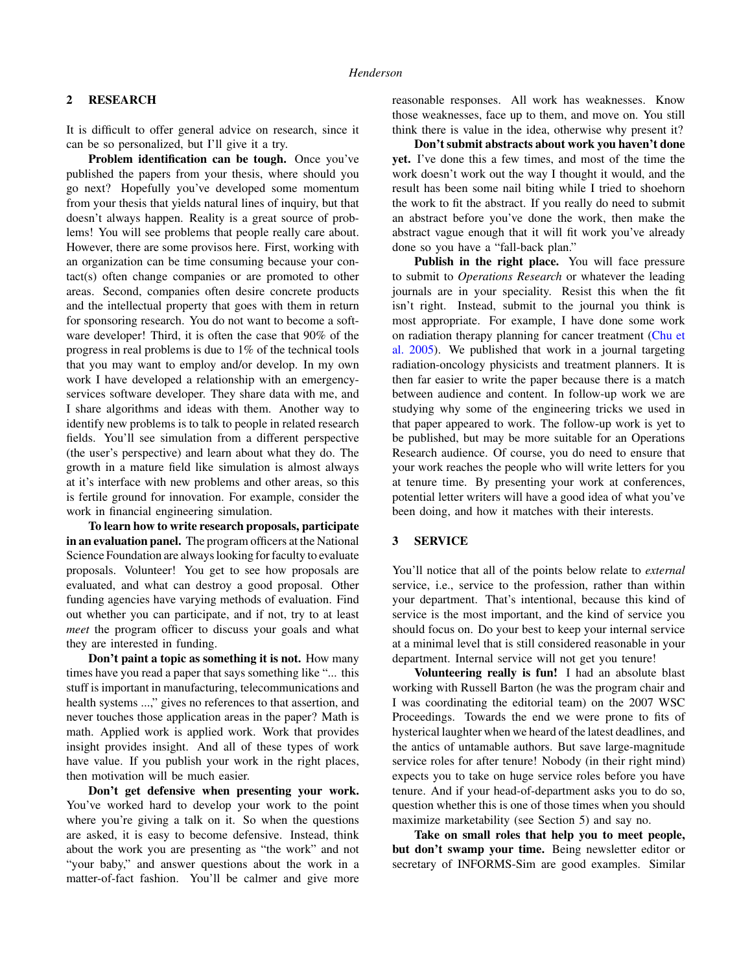### 2 RESEARCH

It is difficult to offer general advice on research, since it can be so personalized, but I'll give it a try.

Problem identification can be tough. Once you've published the papers from your thesis, where should you go next? Hopefully you've developed some momentum from your thesis that yields natural lines of inquiry, but that doesn't always happen. Reality is a great source of problems! You will see problems that people really care about. However, there are some provisos here. First, working with an organization can be time consuming because your contact(s) often change companies or are promoted to other areas. Second, companies often desire concrete products and the intellectual property that goes with them in return for sponsoring research. You do not want to become a software developer! Third, it is often the case that 90% of the progress in real problems is due to 1% of the technical tools that you may want to employ and/or develop. In my own work I have developed a relationship with an emergencyservices software developer. They share data with me, and I share algorithms and ideas with them. Another way to identify new problems is to talk to people in related research fields. You'll see simulation from a different perspective (the user's perspective) and learn about what they do. The growth in a mature field like simulation is almost always at it's interface with new problems and other areas, so this is fertile ground for innovation. For example, consider the work in financial engineering simulation.

To learn how to write research proposals, participate in an evaluation panel. The program officers at the National Science Foundation are always looking for faculty to evaluate proposals. Volunteer! You get to see how proposals are evaluated, and what can destroy a good proposal. Other funding agencies have varying methods of evaluation. Find out whether you can participate, and if not, try to at least *meet* the program officer to discuss your goals and what they are interested in funding.

Don't paint a topic as something it is not. How many times have you read a paper that says something like "... this stuff is important in manufacturing, telecommunications and health systems ...," gives no references to that assertion, and never touches those application areas in the paper? Math is math. Applied work is applied work. Work that provides insight provides insight. And all of these types of work have value. If you publish your work in the right places, then motivation will be much easier.

Don't get defensive when presenting your work. You've worked hard to develop your work to the point where you're giving a talk on it. So when the questions are asked, it is easy to become defensive. Instead, think about the work you are presenting as "the work" and not "your baby," and answer questions about the work in a matter-of-fact fashion. You'll be calmer and give more

reasonable responses. All work has weaknesses. Know those weaknesses, face up to them, and move on. You still think there is value in the idea, otherwise why present it?

Don't submit abstracts about work you haven't done yet. I've done this a few times, and most of the time the work doesn't work out the way I thought it would, and the result has been some nail biting while I tried to shoehorn the work to fit the abstract. If you really do need to submit an abstract before you've done the work, then make the abstract vague enough that it will fit work you've already done so you have a "fall-back plan."

Publish in the right place. You will face pressure to submit to *Operations Research* or whatever the leading journals are in your speciality. Resist this when the fit isn't right. Instead, submit to the journal you think is most appropriate. For example, I have done some work on radiation therapy planning for cancer treatment [\(Chu et](#page-5-2) [al. 2005\)](#page-5-2). We published that work in a journal targeting radiation-oncology physicists and treatment planners. It is then far easier to write the paper because there is a match between audience and content. In follow-up work we are studying why some of the engineering tricks we used in that paper appeared to work. The follow-up work is yet to be published, but may be more suitable for an Operations Research audience. Of course, you do need to ensure that your work reaches the people who will write letters for you at tenure time. By presenting your work at conferences, potential letter writers will have a good idea of what you've been doing, and how it matches with their interests.

# 3 SERVICE

You'll notice that all of the points below relate to *external* service, i.e., service to the profession, rather than within your department. That's intentional, because this kind of service is the most important, and the kind of service you should focus on. Do your best to keep your internal service at a minimal level that is still considered reasonable in your department. Internal service will not get you tenure!

Volunteering really is fun! I had an absolute blast working with Russell Barton (he was the program chair and I was coordinating the editorial team) on the 2007 WSC Proceedings. Towards the end we were prone to fits of hysterical laughter when we heard of the latest deadlines, and the antics of untamable authors. But save large-magnitude service roles for after tenure! Nobody (in their right mind) expects you to take on huge service roles before you have tenure. And if your head-of-department asks you to do so, question whether this is one of those times when you should maximize marketability (see Section [5\)](#page-3-0) and say no.

Take on small roles that help you to meet people, but don't swamp your time. Being newsletter editor or secretary of INFORMS-Sim are good examples. Similar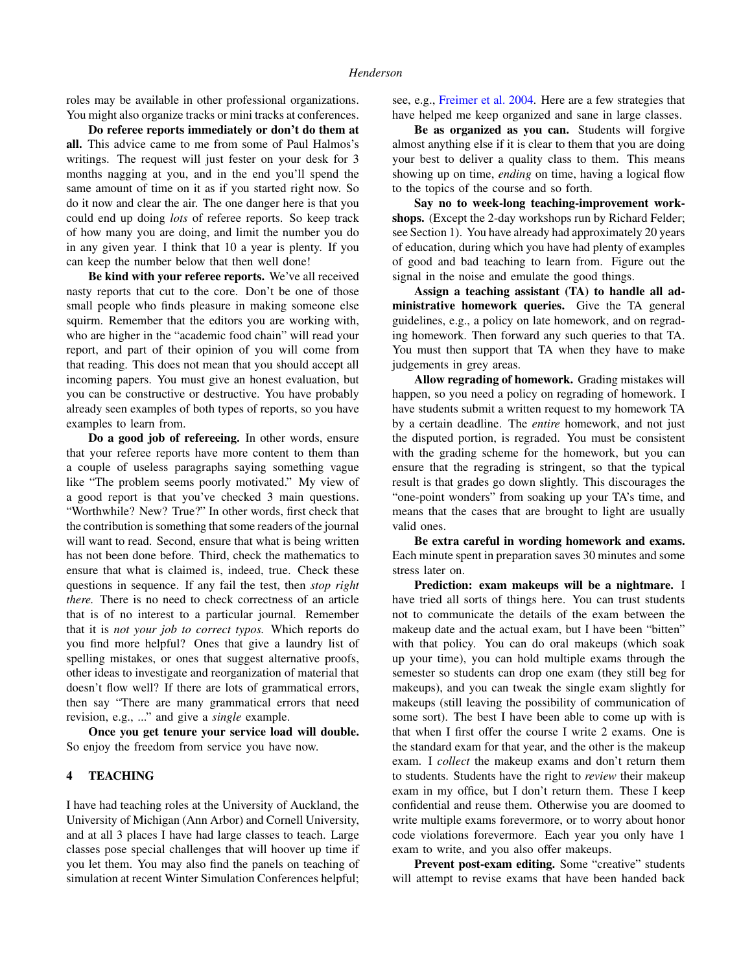roles may be available in other professional organizations. You might also organize tracks or mini tracks at conferences.

Do referee reports immediately or don't do them at all. This advice came to me from some of Paul Halmos's writings. The request will just fester on your desk for 3 months nagging at you, and in the end you'll spend the same amount of time on it as if you started right now. So do it now and clear the air. The one danger here is that you could end up doing *lots* of referee reports. So keep track of how many you are doing, and limit the number you do in any given year. I think that 10 a year is plenty. If you can keep the number below that then well done!

Be kind with your referee reports. We've all received nasty reports that cut to the core. Don't be one of those small people who finds pleasure in making someone else squirm. Remember that the editors you are working with, who are higher in the "academic food chain" will read your report, and part of their opinion of you will come from that reading. This does not mean that you should accept all incoming papers. You must give an honest evaluation, but you can be constructive or destructive. You have probably already seen examples of both types of reports, so you have examples to learn from.

Do a good job of refereeing. In other words, ensure that your referee reports have more content to them than a couple of useless paragraphs saying something vague like "The problem seems poorly motivated." My view of a good report is that you've checked 3 main questions. "Worthwhile? New? True?" In other words, first check that the contribution is something that some readers of the journal will want to read. Second, ensure that what is being written has not been done before. Third, check the mathematics to ensure that what is claimed is, indeed, true. Check these questions in sequence. If any fail the test, then *stop right there.* There is no need to check correctness of an article that is of no interest to a particular journal. Remember that it is *not your job to correct typos.* Which reports do you find more helpful? Ones that give a laundry list of spelling mistakes, or ones that suggest alternative proofs, other ideas to investigate and reorganization of material that doesn't flow well? If there are lots of grammatical errors, then say "There are many grammatical errors that need revision, e.g., ..." and give a *single* example.

Once you get tenure your service load will double. So enjoy the freedom from service you have now.

# 4 TEACHING

I have had teaching roles at the University of Auckland, the University of Michigan (Ann Arbor) and Cornell University, and at all 3 places I have had large classes to teach. Large classes pose special challenges that will hoover up time if you let them. You may also find the panels on teaching of simulation at recent Winter Simulation Conferences helpful;

see, e.g., [Freimer et al. 2004.](#page-5-3) Here are a few strategies that have helped me keep organized and sane in large classes.

Be as organized as you can. Students will forgive almost anything else if it is clear to them that you are doing your best to deliver a quality class to them. This means showing up on time, *ending* on time, having a logical flow to the topics of the course and so forth.

Say no to week-long teaching-improvement workshops. (Except the 2-day workshops run by Richard Felder; see Section [1\)](#page-0-0). You have already had approximately 20 years of education, during which you have had plenty of examples of good and bad teaching to learn from. Figure out the signal in the noise and emulate the good things.

Assign a teaching assistant (TA) to handle all administrative homework queries. Give the TA general guidelines, e.g., a policy on late homework, and on regrading homework. Then forward any such queries to that TA. You must then support that TA when they have to make judgements in grey areas.

Allow regrading of homework. Grading mistakes will happen, so you need a policy on regrading of homework. I have students submit a written request to my homework TA by a certain deadline. The *entire* homework, and not just the disputed portion, is regraded. You must be consistent with the grading scheme for the homework, but you can ensure that the regrading is stringent, so that the typical result is that grades go down slightly. This discourages the "one-point wonders" from soaking up your TA's time, and means that the cases that are brought to light are usually valid ones.

Be extra careful in wording homework and exams. Each minute spent in preparation saves 30 minutes and some stress later on.

Prediction: exam makeups will be a nightmare. I have tried all sorts of things here. You can trust students not to communicate the details of the exam between the makeup date and the actual exam, but I have been "bitten" with that policy. You can do oral makeups (which soak up your time), you can hold multiple exams through the semester so students can drop one exam (they still beg for makeups), and you can tweak the single exam slightly for makeups (still leaving the possibility of communication of some sort). The best I have been able to come up with is that when I first offer the course I write 2 exams. One is the standard exam for that year, and the other is the makeup exam. I *collect* the makeup exams and don't return them to students. Students have the right to *review* their makeup exam in my office, but I don't return them. These I keep confidential and reuse them. Otherwise you are doomed to write multiple exams forevermore, or to worry about honor code violations forevermore. Each year you only have 1 exam to write, and you also offer makeups.

Prevent post-exam editing. Some "creative" students will attempt to revise exams that have been handed back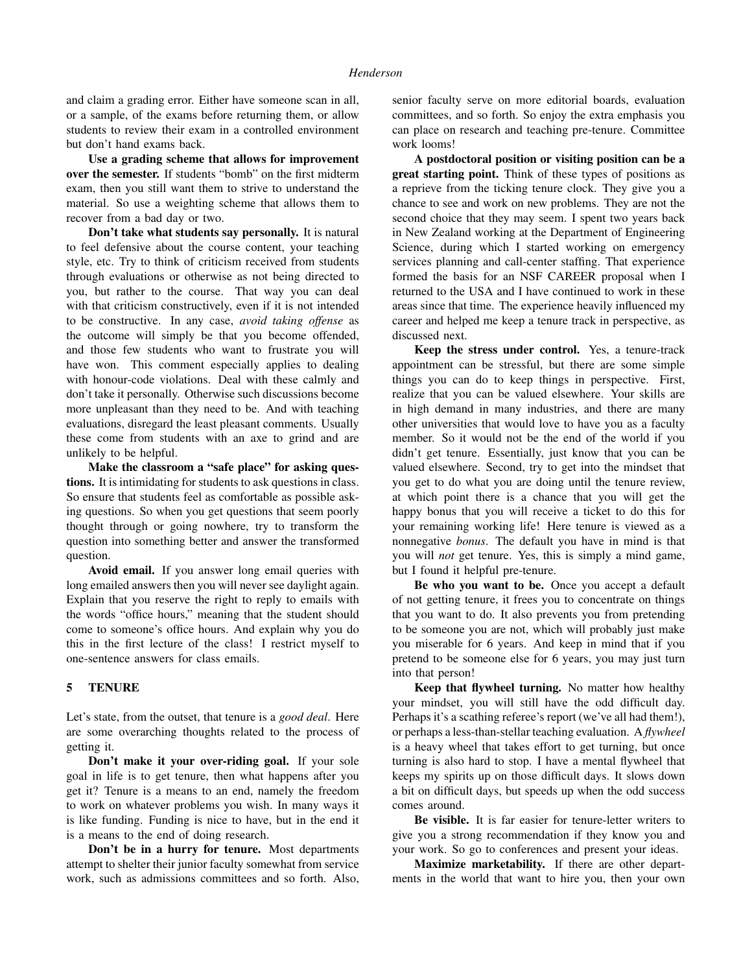and claim a grading error. Either have someone scan in all, or a sample, of the exams before returning them, or allow students to review their exam in a controlled environment but don't hand exams back.

Use a grading scheme that allows for improvement over the semester. If students "bomb" on the first midterm exam, then you still want them to strive to understand the material. So use a weighting scheme that allows them to recover from a bad day or two.

Don't take what students say personally. It is natural to feel defensive about the course content, your teaching style, etc. Try to think of criticism received from students through evaluations or otherwise as not being directed to you, but rather to the course. That way you can deal with that criticism constructively, even if it is not intended to be constructive. In any case, *avoid taking offense* as the outcome will simply be that you become offended, and those few students who want to frustrate you will have won. This comment especially applies to dealing with honour-code violations. Deal with these calmly and don't take it personally. Otherwise such discussions become more unpleasant than they need to be. And with teaching evaluations, disregard the least pleasant comments. Usually these come from students with an axe to grind and are unlikely to be helpful.

Make the classroom a "safe place" for asking questions. It is intimidating for students to ask questions in class. So ensure that students feel as comfortable as possible asking questions. So when you get questions that seem poorly thought through or going nowhere, try to transform the question into something better and answer the transformed question.

Avoid email. If you answer long email queries with long emailed answers then you will never see daylight again. Explain that you reserve the right to reply to emails with the words "office hours," meaning that the student should come to someone's office hours. And explain why you do this in the first lecture of the class! I restrict myself to one-sentence answers for class emails.

# <span id="page-3-0"></span>5 TENURE

Let's state, from the outset, that tenure is a *good deal*. Here are some overarching thoughts related to the process of getting it.

Don't make it your over-riding goal. If your sole goal in life is to get tenure, then what happens after you get it? Tenure is a means to an end, namely the freedom to work on whatever problems you wish. In many ways it is like funding. Funding is nice to have, but in the end it is a means to the end of doing research.

Don't be in a hurry for tenure. Most departments attempt to shelter their junior faculty somewhat from service work, such as admissions committees and so forth. Also,

senior faculty serve on more editorial boards, evaluation committees, and so forth. So enjoy the extra emphasis you can place on research and teaching pre-tenure. Committee work looms!

A postdoctoral position or visiting position can be a great starting point. Think of these types of positions as a reprieve from the ticking tenure clock. They give you a chance to see and work on new problems. They are not the second choice that they may seem. I spent two years back in New Zealand working at the Department of Engineering Science, during which I started working on emergency services planning and call-center staffing. That experience formed the basis for an NSF CAREER proposal when I returned to the USA and I have continued to work in these areas since that time. The experience heavily influenced my career and helped me keep a tenure track in perspective, as discussed next.

Keep the stress under control. Yes, a tenure-track appointment can be stressful, but there are some simple things you can do to keep things in perspective. First, realize that you can be valued elsewhere. Your skills are in high demand in many industries, and there are many other universities that would love to have you as a faculty member. So it would not be the end of the world if you didn't get tenure. Essentially, just know that you can be valued elsewhere. Second, try to get into the mindset that you get to do what you are doing until the tenure review, at which point there is a chance that you will get the happy bonus that you will receive a ticket to do this for your remaining working life! Here tenure is viewed as a nonnegative *bonus*. The default you have in mind is that you will *not* get tenure. Yes, this is simply a mind game, but I found it helpful pre-tenure.

Be who you want to be. Once you accept a default of not getting tenure, it frees you to concentrate on things that you want to do. It also prevents you from pretending to be someone you are not, which will probably just make you miserable for 6 years. And keep in mind that if you pretend to be someone else for 6 years, you may just turn into that person!

Keep that flywheel turning. No matter how healthy your mindset, you will still have the odd difficult day. Perhaps it's a scathing referee's report (we've all had them!), or perhaps a less-than-stellar teaching evaluation. A *flywheel* is a heavy wheel that takes effort to get turning, but once turning is also hard to stop. I have a mental flywheel that keeps my spirits up on those difficult days. It slows down a bit on difficult days, but speeds up when the odd success comes around.

Be visible. It is far easier for tenure-letter writers to give you a strong recommendation if they know you and your work. So go to conferences and present your ideas.

Maximize marketability. If there are other departments in the world that want to hire you, then your own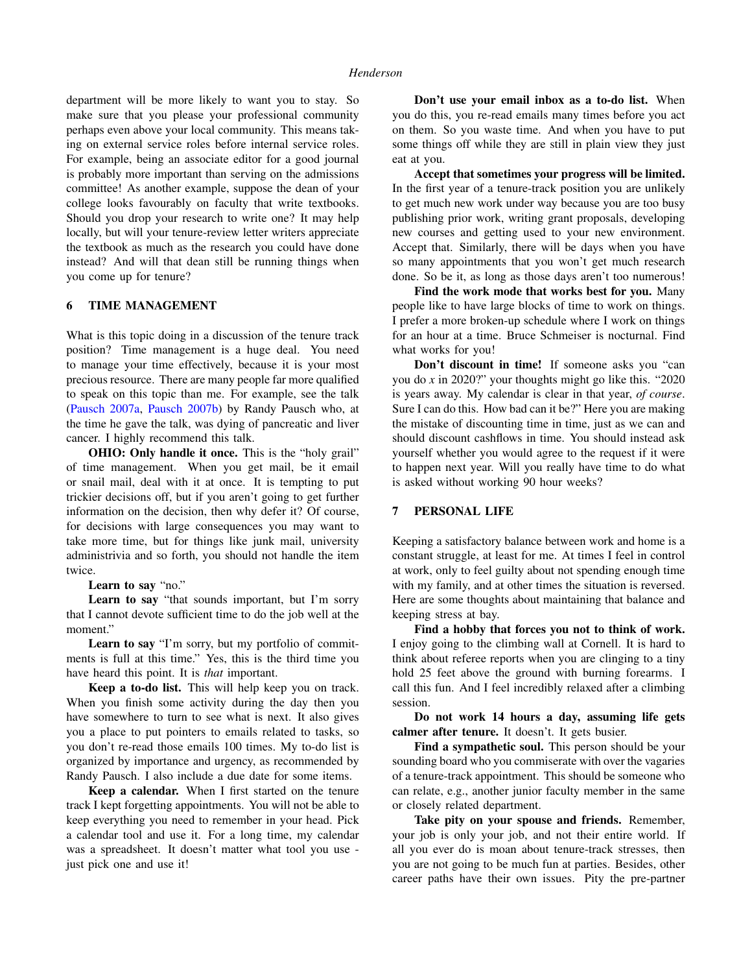department will be more likely to want you to stay. So make sure that you please your professional community perhaps even above your local community. This means taking on external service roles before internal service roles. For example, being an associate editor for a good journal is probably more important than serving on the admissions committee! As another example, suppose the dean of your college looks favourably on faculty that write textbooks. Should you drop your research to write one? It may help locally, but will your tenure-review letter writers appreciate the textbook as much as the research you could have done instead? And will that dean still be running things when you come up for tenure?

## 6 TIME MANAGEMENT

What is this topic doing in a discussion of the tenure track position? Time management is a huge deal. You need to manage your time effectively, because it is your most precious resource. There are many people far more qualified to speak on this topic than me. For example, see the talk [\(Pausch 2007a,](#page-5-4) [Pausch 2007b\)](#page-5-5) by Randy Pausch who, at the time he gave the talk, was dying of pancreatic and liver cancer. I highly recommend this talk.

OHIO: Only handle it once. This is the "holy grail" of time management. When you get mail, be it email or snail mail, deal with it at once. It is tempting to put trickier decisions off, but if you aren't going to get further information on the decision, then why defer it? Of course, for decisions with large consequences you may want to take more time, but for things like junk mail, university administrivia and so forth, you should not handle the item twice.

Learn to say "no."

Learn to say "that sounds important, but I'm sorry that I cannot devote sufficient time to do the job well at the moment."

Learn to say "I'm sorry, but my portfolio of commitments is full at this time." Yes, this is the third time you have heard this point. It is *that* important.

Keep a to-do list. This will help keep you on track. When you finish some activity during the day then you have somewhere to turn to see what is next. It also gives you a place to put pointers to emails related to tasks, so you don't re-read those emails 100 times. My to-do list is organized by importance and urgency, as recommended by Randy Pausch. I also include a due date for some items.

Keep a calendar. When I first started on the tenure track I kept forgetting appointments. You will not be able to keep everything you need to remember in your head. Pick a calendar tool and use it. For a long time, my calendar was a spreadsheet. It doesn't matter what tool you use just pick one and use it!

Don't use your email inbox as a to-do list. When you do this, you re-read emails many times before you act on them. So you waste time. And when you have to put some things off while they are still in plain view they just eat at you.

Accept that sometimes your progress will be limited. In the first year of a tenure-track position you are unlikely to get much new work under way because you are too busy publishing prior work, writing grant proposals, developing new courses and getting used to your new environment. Accept that. Similarly, there will be days when you have so many appointments that you won't get much research done. So be it, as long as those days aren't too numerous!

Find the work mode that works best for you. Many people like to have large blocks of time to work on things. I prefer a more broken-up schedule where I work on things for an hour at a time. Bruce Schmeiser is nocturnal. Find what works for you!

Don't discount in time! If someone asks you "can you do *x* in 2020?" your thoughts might go like this. "2020 is years away. My calendar is clear in that year, *of course*. Sure I can do this. How bad can it be?" Here you are making the mistake of discounting time in time, just as we can and should discount cashflows in time. You should instead ask yourself whether you would agree to the request if it were to happen next year. Will you really have time to do what is asked without working 90 hour weeks?

#### 7 PERSONAL LIFE

Keeping a satisfactory balance between work and home is a constant struggle, at least for me. At times I feel in control at work, only to feel guilty about not spending enough time with my family, and at other times the situation is reversed. Here are some thoughts about maintaining that balance and keeping stress at bay.

Find a hobby that forces you not to think of work. I enjoy going to the climbing wall at Cornell. It is hard to think about referee reports when you are clinging to a tiny hold 25 feet above the ground with burning forearms. I call this fun. And I feel incredibly relaxed after a climbing session.

Do not work 14 hours a day, assuming life gets calmer after tenure. It doesn't. It gets busier.

Find a sympathetic soul. This person should be your sounding board who you commiserate with over the vagaries of a tenure-track appointment. This should be someone who can relate, e.g., another junior faculty member in the same or closely related department.

Take pity on your spouse and friends. Remember, your job is only your job, and not their entire world. If all you ever do is moan about tenure-track stresses, then you are not going to be much fun at parties. Besides, other career paths have their own issues. Pity the pre-partner